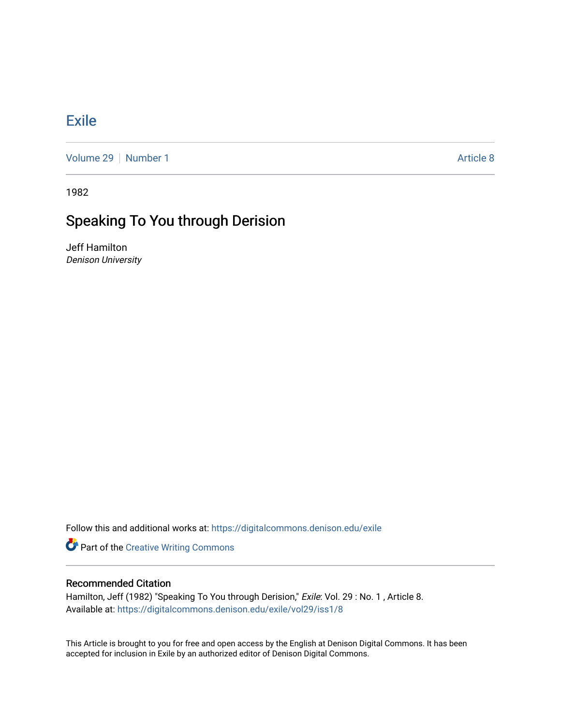## [Exile](https://digitalcommons.denison.edu/exile)

[Volume 29](https://digitalcommons.denison.edu/exile/vol29) | [Number 1](https://digitalcommons.denison.edu/exile/vol29/iss1) Article 8

1982

## Speaking To You through Derision

Jeff Hamilton Denison University

Follow this and additional works at: [https://digitalcommons.denison.edu/exile](https://digitalcommons.denison.edu/exile?utm_source=digitalcommons.denison.edu%2Fexile%2Fvol29%2Fiss1%2F8&utm_medium=PDF&utm_campaign=PDFCoverPages) 

**Part of the Creative Writing Commons** 

## Recommended Citation

Hamilton, Jeff (1982) "Speaking To You through Derision," Exile: Vol. 29: No. 1, Article 8. Available at: [https://digitalcommons.denison.edu/exile/vol29/iss1/8](https://digitalcommons.denison.edu/exile/vol29/iss1/8?utm_source=digitalcommons.denison.edu%2Fexile%2Fvol29%2Fiss1%2F8&utm_medium=PDF&utm_campaign=PDFCoverPages) 

This Article is brought to you for free and open access by the English at Denison Digital Commons. It has been accepted for inclusion in Exile by an authorized editor of Denison Digital Commons.